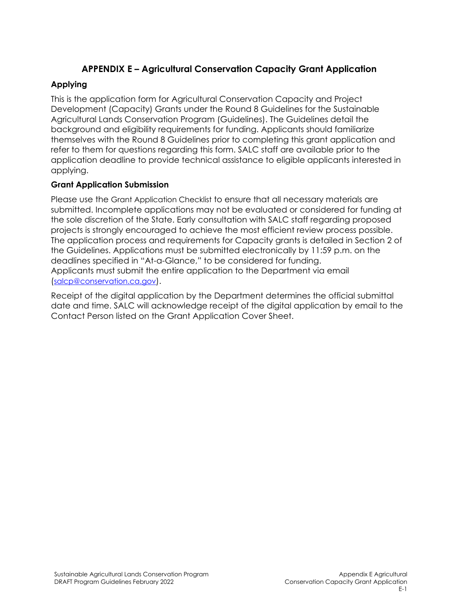# **APPENDIX E – Agricultural Conservation Capacity Grant Application**

## **Applying**

This is the application form for Agricultural Conservation Capacity and Project Development (Capacity) Grants under the Round 8 Guidelines for the Sustainable Agricultural Lands Conservation Program (Guidelines). The Guidelines detail the backaround and eligibility requirements for funding. Applicants should familiarize themselves with the Round 8 Guidelines prior to completing this grant application and refer to them for questions regarding this form. SALC staff are available prior to the application deadline to provide technical assistance to eligible applicants interested in applying.

## **Grant Application Submission**

Please use the Grant Application Checklist to ensure that all necessary materials are submitted. Incomplete applications may not be evaluated or considered for funding at the sole discretion of the State. Early consultation with SALC staff regarding proposed projects is strongly encouraged to achieve the most efficient review process possible. The application process and requirements for Capacity grants is detailed in Section 2 of the Guidelines. Applications must be submitted electronically by 11:59 p.m. on the deadlines specified in "At-a-Glance," to be considered for funding. Applicants must submit the entire application to the Department via email [\(salcp@conservation.ca.gov\)](mailto:salcp@conservation.ca.gov).

Receipt of the digital application by the Department determines the official submittal date and time. SALC will acknowledge receipt of the digital application by email to the Contact Person listed on the Grant Application Cover Sheet.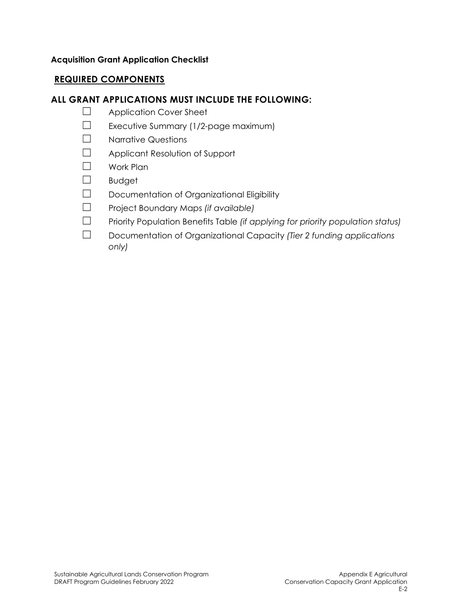### **Acquisition Grant Application Checklist**

## **REQUIRED COMPONENTS**

# **ALL GRANT APPLICATIONS MUST INCLUDE THE FOLLOWING:**

- ☐ Application Cover Sheet
- ☐ Executive Summary (1/2-page maximum)
- ☐ Narrative Questions
- ☐ Applicant Resolution of Support
- ☐ Work Plan
- ☐ Budget
- ☐ Documentation of Organizational Eligibility
- ☐ Project Boundary Maps *(if available)*
- ☐ Priority Population Benefits Table *(if applying for priority population status)*
- ☐ Documentation of Organizational Capacity *(Tier 2 funding applications only)*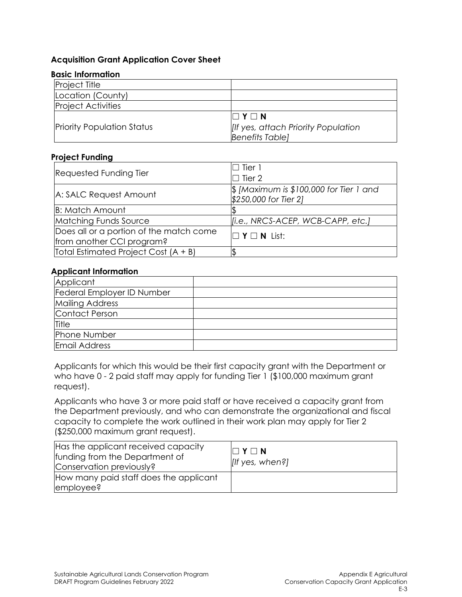#### **Acquisition Grant Application Cover Sheet**

#### **Basic Information**

| <b>Project Title</b>              |                                           |
|-----------------------------------|-------------------------------------------|
| Location (County)                 |                                           |
| <b>Project Activities</b>         |                                           |
|                                   | $\Box$ Y $\Box$ N                         |
| <b>Priority Population Status</b> | <b>If yes, attach Priority Population</b> |
|                                   | <b>Benefits Tablel</b>                    |

#### **Project Funding**

| <b>Requested Funding Tier</b>           | $\Box$ Tier 1                                      |  |  |  |
|-----------------------------------------|----------------------------------------------------|--|--|--|
|                                         | $\Box$ Tier 2                                      |  |  |  |
|                                         | $\frac{1}{2}$ [Maximum is \$100,000 for Tier 1 and |  |  |  |
| A: SALC Request Amount                  | \$250,000 for Tier 2]                              |  |  |  |
| <b>B: Match Amount</b>                  |                                                    |  |  |  |
| Matching Funds Source                   | [i.e., NRCS-ACEP, WCB-CAPP, etc.]                  |  |  |  |
| Does all or a portion of the match come | $\Box$ Y $\Box$ N List:                            |  |  |  |
| from another CCI program?               |                                                    |  |  |  |
| Total Estimated Project Cost (A + B)    |                                                    |  |  |  |

#### **Applicant Information**

| Applicant                  |  |
|----------------------------|--|
| Federal Employer ID Number |  |
| <b>Mailing Address</b>     |  |
| Contact Person             |  |
| Title                      |  |
| Phone Number               |  |
| Email Address              |  |

Applicants for which this would be their first capacity grant with the Department or who have 0 - 2 paid staff may apply for funding Tier 1 (\$100,000 maximum grant request).

Applicants who have 3 or more paid staff or have received a capacity grant from the Department previously, and who can demonstrate the organizational and fiscal capacity to complete the work outlined in their work plan may apply for Tier 2 (\$250,000 maximum grant request).

| Has the applicant received capacity<br>funding from the Department of<br>Conservation previously? | $\Box$ Y $\Box$ N<br>$[$ If yes, when?] |
|---------------------------------------------------------------------------------------------------|-----------------------------------------|
| How many paid staff does the applicant<br>employee?                                               |                                         |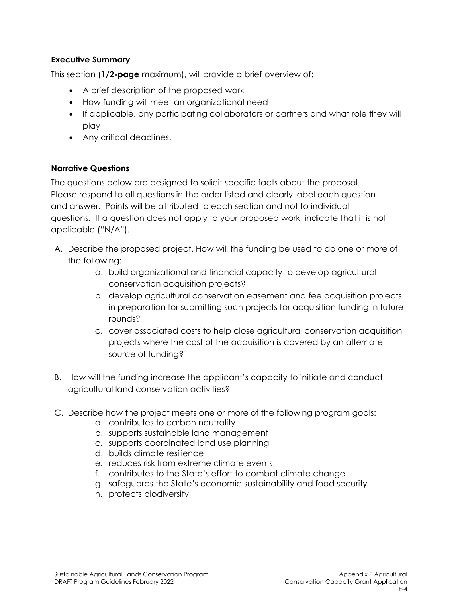## **Executive Summary**

This section (**1/2-page** maximum), will provide a brief overview of:

- A brief description of the proposed work
- How funding will meet an organizational need
- If applicable, any participating collaborators or partners and what role they will play
- Any critical deadlines.

### **Narrative Questions**

The questions below are designed to solicit specific facts about the proposal. Please respond to all questions in the order listed and clearly label each question and answer. Points will be attributed to each section and not to individual questions. If a question does not apply to your proposed work, indicate that it is not applicable ("N/A").

- A. Describe the proposed project. How will the funding be used to do one or more of the following:
	- a. build organizational and financial capacity to develop agricultural conservation acquisition projects?
	- b. develop agricultural conservation easement and fee acquisition projects in preparation for submitting such projects for acquisition funding in future rounds?
	- c. cover associated costs to help close agricultural conservation acquisition projects where the cost of the acquisition is covered by an alternate source of funding?
- B. How will the funding increase the applicant's capacity to initiate and conduct agricultural land conservation activities?
- C. Describe how the project meets one or more of the following program goals:
	- a. contributes to carbon neutrality
	- b. supports sustainable land management
	- c. supports coordinated land use planning
	- d. builds climate resilience
	- e. reduces risk from extreme climate events
	- f. contributes to the State's effort to combat climate change
	- g. safeguards the State's economic sustainability and food security
	- h. protects biodiversity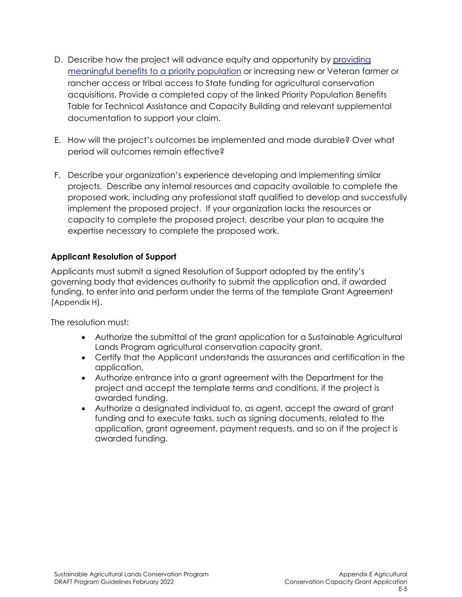- D. Describe how the project will advance equity and opportunity by [providing](https://ww2.arb.ca.gov/sites/default/files/auction-proceeds/ccidoc/criteriatable/criteria_table_technical_assistance_capacity_building.pdf)  [meaningful benefits to a priority population](https://ww2.arb.ca.gov/sites/default/files/auction-proceeds/ccidoc/criteriatable/criteria_table_technical_assistance_capacity_building.pdf) or increasing new or Veteran farmer or rancher access or tribal access to State funding for agricultural conservation acquisitions. Provide a completed copy of the linked Priority Population Benefits Table for Technical Assistance and Capacity Building and relevant supplemental documentation to support your claim.
- E. How will the project's outcomes be implemented and made durable? Over what period will outcomes remain effective?
- F. Describe your organization's experience developing and implementing similar projects. Describe any internal resources and capacity available to complete the proposed work, including any professional staff qualified to develop and successfully implement the proposed project. If your organization lacks the resources or capacity to complete the proposed project, describe your plan to acquire the expertise necessary to complete the proposed work.

## **Applicant Resolution of Support**

Applicants must submit a signed Resolution of Support adopted by the entity's governing body that evidences authority to submit the application and, if awarded funding, to enter into and perform under the terms of the template Grant Agreement (Appendix H).

The resolution must:

- Authorize the submittal of the grant application for a Sustainable Agricultural Lands Program agricultural conservation capacity grant.
- Certify that the Applicant understands the assurances and certification in the application,
- Authorize entrance into a grant agreement with the Department for the project and accept the template terms and conditions, if the project is awarded funding.
- Authorize a designated individual to, as agent, accept the award of grant funding and to execute tasks, such as signing documents, related to the application, grant agreement, payment requests, and so on if the project is awarded funding.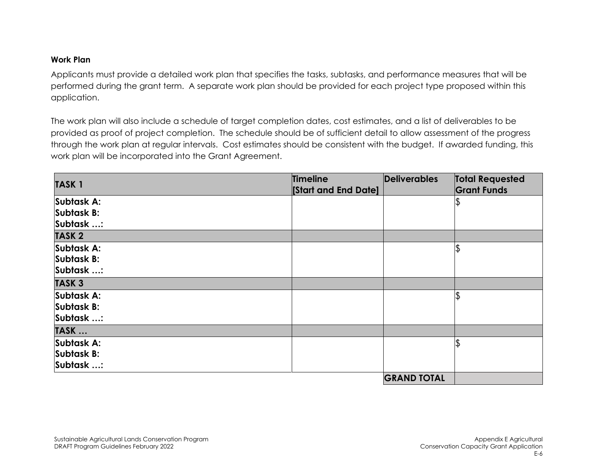### **Work Plan**

Applicants must provide a detailed work plan that specifies the tasks, subtasks, and performance measures that will be performed during the grant term. A separate work plan should be provided for each project type proposed within this application.

The work plan will also include a schedule of target completion dates, cost estimates, and a list of deliverables to be provided as proof of project completion. The schedule should be of sufficient detail to allow assessment of the progress through the work plan at regular intervals. Cost estimates should be consistent with the budget. If awarded funding, this work plan will be incorporated into the Grant Agreement.

| <b>TASK1</b> | Timeline                   | Deliverables       | <b>Total Requested</b> |  |
|--------------|----------------------------|--------------------|------------------------|--|
|              | <b>Start and End Date]</b> |                    | <b>Grant Funds</b>     |  |
| Subtask A:   |                            |                    |                        |  |
| Subtask B:   |                            |                    |                        |  |
| Subtask :    |                            |                    |                        |  |
| <b>TASK2</b> |                            |                    |                        |  |
| Subtask A:   |                            |                    |                        |  |
| Subtask B:   |                            |                    |                        |  |
| Subtask :    |                            |                    |                        |  |
| <b>TASK3</b> |                            |                    |                        |  |
| Subtask A:   |                            |                    |                        |  |
| Subtask B:   |                            |                    |                        |  |
| Subtask :    |                            |                    |                        |  |
| TASK         |                            |                    |                        |  |
| Subtask A:   |                            |                    |                        |  |
| Subtask B:   |                            |                    |                        |  |
| Subtask :    |                            |                    |                        |  |
|              |                            | <b>GRAND TOTAL</b> |                        |  |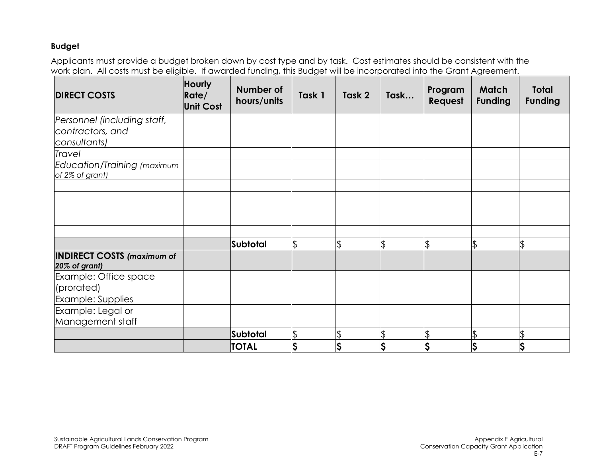#### **Budget**

Applicants must provide a budget broken down by cost type and by task. Cost estimates should be consistent with the work plan. All costs must be eligible. If awarded funding, this Budget will be incorporated into the Grant Agreement.

| <b>DIRECT COSTS</b>                                | Hourly<br>Rate/<br><b>Unit Cost</b> | Number of<br>hours/units | Task 1                   | Task 2   | Task | Program<br>Request | <b>Match</b><br><b>Funding</b> | <b>Total</b><br><b>Funding</b> |
|----------------------------------------------------|-------------------------------------|--------------------------|--------------------------|----------|------|--------------------|--------------------------------|--------------------------------|
| Personnel (including staff,                        |                                     |                          |                          |          |      |                    |                                |                                |
| contractors, and                                   |                                     |                          |                          |          |      |                    |                                |                                |
| consultants)                                       |                                     |                          |                          |          |      |                    |                                |                                |
| Travel                                             |                                     |                          |                          |          |      |                    |                                |                                |
| Education/Training (maximum<br>of 2% of grant)     |                                     |                          |                          |          |      |                    |                                |                                |
|                                                    |                                     |                          |                          |          |      |                    |                                |                                |
|                                                    |                                     |                          |                          |          |      |                    |                                |                                |
|                                                    |                                     |                          |                          |          |      |                    |                                |                                |
|                                                    |                                     |                          |                          |          |      |                    |                                |                                |
|                                                    |                                     |                          |                          |          |      |                    |                                |                                |
|                                                    |                                     | Subtotal                 | $\frac{1}{2}$            | <b>Ψ</b> | \$   | $\frac{1}{2}$      | \$                             | \$                             |
| <b>INDIRECT COSTS (maximum of</b><br>20% of grant) |                                     |                          |                          |          |      |                    |                                |                                |
| Example: Office space<br>(prorated)                |                                     |                          |                          |          |      |                    |                                |                                |
| Example: Supplies                                  |                                     |                          |                          |          |      |                    |                                |                                |
| Example: Legal or                                  |                                     |                          |                          |          |      |                    |                                |                                |
| Management staff                                   |                                     |                          |                          |          |      |                    |                                |                                |
|                                                    |                                     | Subtotal                 | $\overline{\mathcal{L}}$ |          | \$   | $\frac{1}{2}$      | \$                             | \$                             |
|                                                    |                                     | <b>TOTAL</b>             | Ş                        | Ş        | \$   | Ş                  | Ş                              | $\varsigma$                    |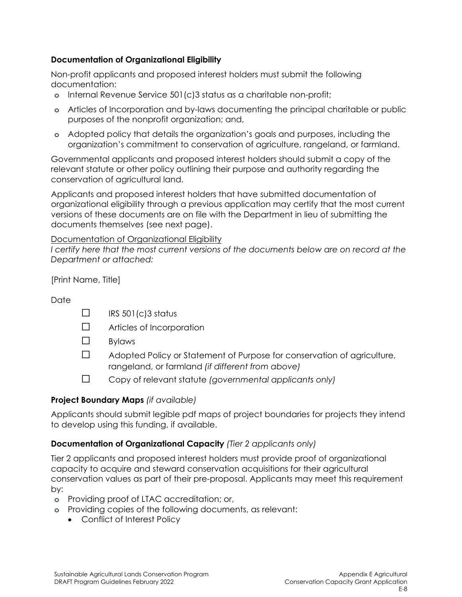## **Documentation of Organizational Eligibility**

Non-profit applicants and proposed interest holders must submit the following documentation:

- **o** Internal Revenue Service 501(c)3 status as a charitable non-profit;
- **o** Articles of Incorporation and by-laws documenting the principal charitable or public purposes of the nonprofit organization; and,
- **o** Adopted policy that details the organization's goals and purposes, including the organization's commitment to conservation of agriculture, rangeland, or farmland.

Governmental applicants and proposed interest holders should submit a copy of the relevant statute or other policy outlining their purpose and authority regarding the conservation of agricultural land.

Applicants and proposed interest holders that have submitted documentation of organizational eligibility through a previous application may certify that the most current versions of these documents are on file with the Department in lieu of submitting the documents themselves (see next page).

Documentation of Organizational Eligibility

*I certify here that the most current versions of the documents below are on record at the Department or attached:*

[Print Name, Title]

## **Date**

- $\Box$  IRS 501(c)3 status
- ☐ Articles of Incorporation
- ☐ Bylaws
- ☐ Adopted Policy or Statement of Purpose for conservation of agriculture, rangeland, or farmland *(if different from above)*
- ☐ Copy of relevant statute *(governmental applicants only)*

## **Project Boundary Maps** *(if available)*

Applicants should submit legible pdf maps of project boundaries for projects they intend to develop using this funding, if available.

## **Documentation of Organizational Capacity** *(Tier 2 applicants only)*

Tier 2 applicants and proposed interest holders must provide proof of organizational capacity to acquire and steward conservation acquisitions for their agricultural conservation values as part of their pre-proposal. Applicants may meet this requirement by:

- **o** Providing proof of LTAC accreditation; or,
- **o** Providing copies of the following documents, as relevant:
	- Conflict of Interest Policy